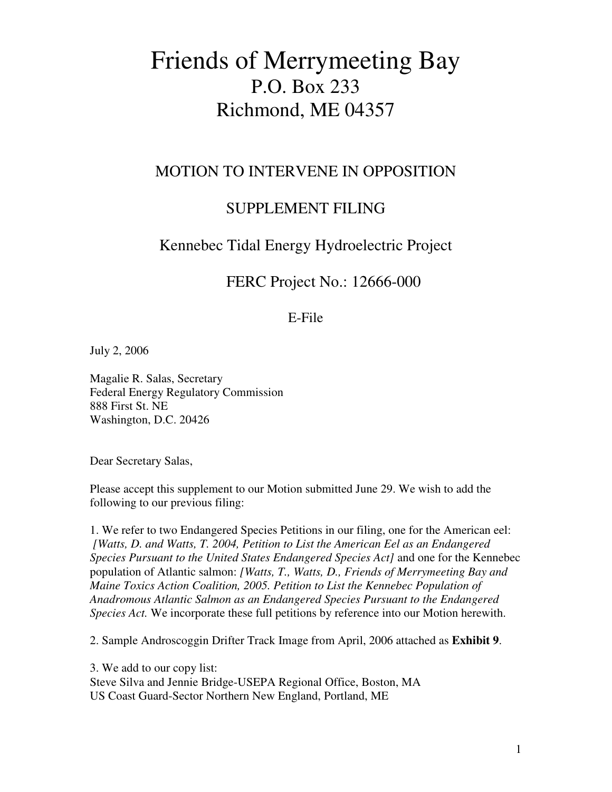# Friends of Merrymeeting Bay P.O. Box 233 Richmond, ME 04357

#### MOTION TO INTERVENE IN OPPOSITION

## SUPPLEMENT FILING

## Kennebec Tidal Energy Hydroelectric Project

#### FERC Project No.: 12666-000

#### E-File

July 2, 2006

Magalie R. Salas, Secretary Federal Energy Regulatory Commission 888 First St. NE Washington, D.C. 20426

Dear Secretary Salas,

Please accept this supplement to our Motion submitted June 29. We wish to add the following to our previous filing:

1. We refer to two Endangered Species Petitions in our filing, one for the American eel: *[Watts, D. and Watts, T. 2004, Petition to List the American Eel as an Endangered Species Pursuant to the United States Endangered Species Act]* and one for the Kennebec population of Atlantic salmon: *[Watts, T., Watts, D., Friends of Merrymeeting Bay and Maine Toxics Action Coalition, 2005. Petition to List the Kennebec Population of Anadromous Atlantic Salmon as an Endangered Species Pursuant to the Endangered Species Act.* We incorporate these full petitions by reference into our Motion herewith.

2. Sample Androscoggin Drifter Track Image from April, 2006 attached as **Exhibit 9**.

3. We add to our copy list: Steve Silva and Jennie Bridge-USEPA Regional Office, Boston, MA US Coast Guard-Sector Northern New England, Portland, ME